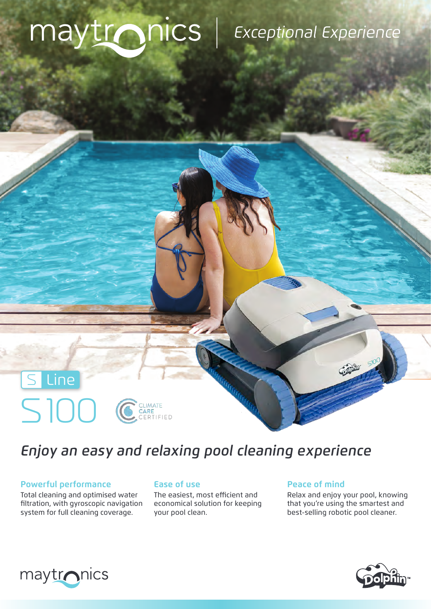# maytronics | Exceptional Experience



## *Enjoy an easy and relaxing pool cleaning experience*

### **Powerful performance Ease of use Ease of mind**

Total cleaning and optimised water filtration, with gyroscopic navigation system for full cleaning coverage.

The easiest, most efficient and economical solution for keeping your pool clean.

Relax and enjoy your pool, knowing that you're using the smartest and best-selling robotic pool cleaner.

**Command 510**